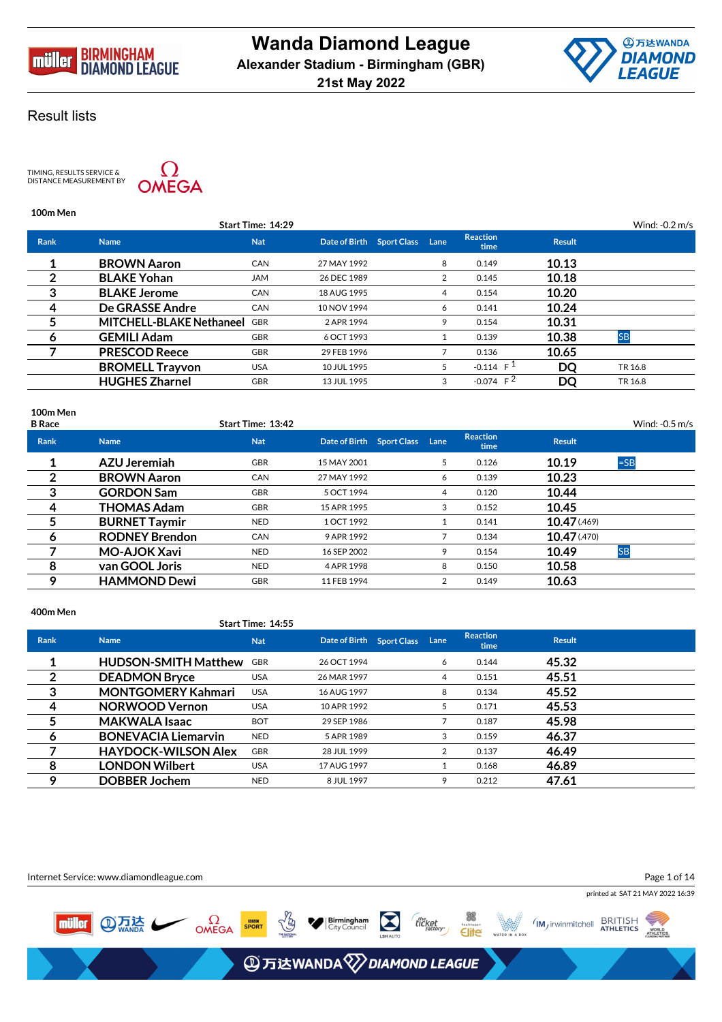



TIMING, RESULTS SERVICE &<br>DISTANCE MEASUREMENT BY



## **100m Men**

|             |                                 | Start Time: 14:29 |                                |    |                         |               | Wind: $-0.2$ m/s |
|-------------|---------------------------------|-------------------|--------------------------------|----|-------------------------|---------------|------------------|
| <b>Rank</b> | <b>Name</b>                     | <b>Nat</b>        | Date of Birth Sport Class Lane |    | <b>Reaction</b><br>time | <b>Result</b> |                  |
|             | <b>BROWN Aaron</b>              | <b>CAN</b>        | 27 MAY 1992                    | 8  | 0.149                   | 10.13         |                  |
| 2           | <b>BLAKE Yohan</b>              | <b>JAM</b>        | 26 DEC 1989                    | 2  | 0.145                   | 10.18         |                  |
| 3           | <b>BLAKE Jerome</b>             | <b>CAN</b>        | 18 AUG 1995                    | 4  | 0.154                   | 10.20         |                  |
| -4          | De GRASSE Andre                 | <b>CAN</b>        | 10 NOV 1994                    | 6  | 0.141                   | 10.24         |                  |
| 5           | <b>MITCHELL-BLAKE Nethaneel</b> | <b>GBR</b>        | 2 APR 1994                     | 9  | 0.154                   | 10.31         |                  |
| 6           | <b>GEMILI Adam</b>              | <b>GBR</b>        | 6 OCT 1993                     |    | 0.139                   | 10.38         | <b>SB</b>        |
|             | <b>PRESCOD Reece</b>            | <b>GBR</b>        | 29 FEB 1996                    |    | 0.136                   | 10.65         |                  |
|             | <b>BROMELL Trayvon</b>          | <b>USA</b>        | 10 JUL 1995                    | 5. | $-0.114$ F <sup>1</sup> | DO            | TR 16.8          |
|             | <b>HUGHES Zharnel</b>           | <b>GBR</b>        | 13 JUL 1995                    | 3  | $-0.074$ F <sup>2</sup> | DQ            | TR 16.8          |
|             |                                 |                   |                                |    |                         |               |                  |

## **100m Men**

| <b>Reaction</b><br>Date of Birth Sport Class Lane<br><b>Result</b><br><b>Rank</b><br><b>Nat</b><br><b>Name</b><br>time<br>$=$ SB<br><b>AZU Jeremiah</b><br>10.19<br><b>GBR</b><br>0.126<br>15 MAY 2001<br>5.<br>2<br><b>BROWN Aaron</b><br>10.23<br><b>CAN</b><br>0.139<br>27 MAY 1992<br>6<br>3<br><b>GORDON Sam</b><br>10.44<br><b>GBR</b><br>0.120<br>5 OCT 1994<br>4<br><b>THOMAS Adam</b><br>10.45<br>4<br><b>GBR</b><br>0.152<br>15 APR 1995<br>3<br>10.47(0.469)<br><b>BURNET Taymir</b><br><b>NED</b><br>0.141<br>1 OCT 1992<br><b>RODNEY Brendon</b><br>10.47(0.470)<br><b>CAN</b><br>0.134<br>9 APR 1992<br>6<br><b>MO-AJOK Xavi</b><br>10.49<br><b>SB</b><br><b>NED</b><br>16 SEP 2002<br>0.154<br>9<br>-8<br>10.58<br>van GOOL Joris<br><b>NED</b><br>0.150<br>8<br>4 APR 1998<br><b>HAMMOND Dewi</b><br>10.63<br>Ω<br><b>GBR</b><br>11 FEB 1994<br>0.149<br>2 | <b>B</b> Race | Start Time: 13:42 |  |  | Wind: $-0.5$ m/s |
|----------------------------------------------------------------------------------------------------------------------------------------------------------------------------------------------------------------------------------------------------------------------------------------------------------------------------------------------------------------------------------------------------------------------------------------------------------------------------------------------------------------------------------------------------------------------------------------------------------------------------------------------------------------------------------------------------------------------------------------------------------------------------------------------------------------------------------------------------------------------------|---------------|-------------------|--|--|------------------|
|                                                                                                                                                                                                                                                                                                                                                                                                                                                                                                                                                                                                                                                                                                                                                                                                                                                                            |               |                   |  |  |                  |
|                                                                                                                                                                                                                                                                                                                                                                                                                                                                                                                                                                                                                                                                                                                                                                                                                                                                            |               |                   |  |  |                  |
|                                                                                                                                                                                                                                                                                                                                                                                                                                                                                                                                                                                                                                                                                                                                                                                                                                                                            |               |                   |  |  |                  |
|                                                                                                                                                                                                                                                                                                                                                                                                                                                                                                                                                                                                                                                                                                                                                                                                                                                                            |               |                   |  |  |                  |
|                                                                                                                                                                                                                                                                                                                                                                                                                                                                                                                                                                                                                                                                                                                                                                                                                                                                            |               |                   |  |  |                  |
|                                                                                                                                                                                                                                                                                                                                                                                                                                                                                                                                                                                                                                                                                                                                                                                                                                                                            |               |                   |  |  |                  |
|                                                                                                                                                                                                                                                                                                                                                                                                                                                                                                                                                                                                                                                                                                                                                                                                                                                                            |               |                   |  |  |                  |
|                                                                                                                                                                                                                                                                                                                                                                                                                                                                                                                                                                                                                                                                                                                                                                                                                                                                            |               |                   |  |  |                  |
|                                                                                                                                                                                                                                                                                                                                                                                                                                                                                                                                                                                                                                                                                                                                                                                                                                                                            |               |                   |  |  |                  |
|                                                                                                                                                                                                                                                                                                                                                                                                                                                                                                                                                                                                                                                                                                                                                                                                                                                                            |               |                   |  |  |                  |

#### **400m Men**

|             |                             | Start Time: 14:55 |                                |    |                         |               |  |
|-------------|-----------------------------|-------------------|--------------------------------|----|-------------------------|---------------|--|
| <b>Rank</b> | <b>Name</b>                 | <b>Nat</b>        | Date of Birth Sport Class Lane |    | <b>Reaction</b><br>time | <b>Result</b> |  |
|             | <b>HUDSON-SMITH Matthew</b> | <b>GBR</b>        | 26 OCT 1994                    | 6  | 0.144                   | 45.32         |  |
| 2           | <b>DEADMON Bryce</b>        | <b>USA</b>        | 26 MAR 1997                    | 4  | 0.151                   | 45.51         |  |
| 3           | <b>MONTGOMERY Kahmari</b>   | <b>USA</b>        | 16 AUG 1997                    | 8  | 0.134                   | 45.52         |  |
| 4           | <b>NORWOOD Vernon</b>       | <b>USA</b>        | 10 APR 1992                    | 5. | 0.171                   | 45.53         |  |
| 5           | <b>MAKWALA Isaac</b>        | <b>BOT</b>        | 29 SEP 1986                    |    | 0.187                   | 45.98         |  |
| 6           | <b>BONEVACIA Liemarvin</b>  | <b>NED</b>        | 5 APR 1989                     | 3  | 0.159                   | 46.37         |  |
|             | <b>HAYDOCK-WILSON Alex</b>  | <b>GBR</b>        | 28 JUL 1999                    | 2  | 0.137                   | 46.49         |  |
| 8           | <b>LONDON Wilbert</b>       | <b>USA</b>        | 17 AUG 1997                    |    | 0.168                   | 46.89         |  |
| 9           | <b>DOBBER Jochem</b>        | <b>NED</b>        | 8 JUL 1997                     | 9  | 0.212                   | 47.61         |  |

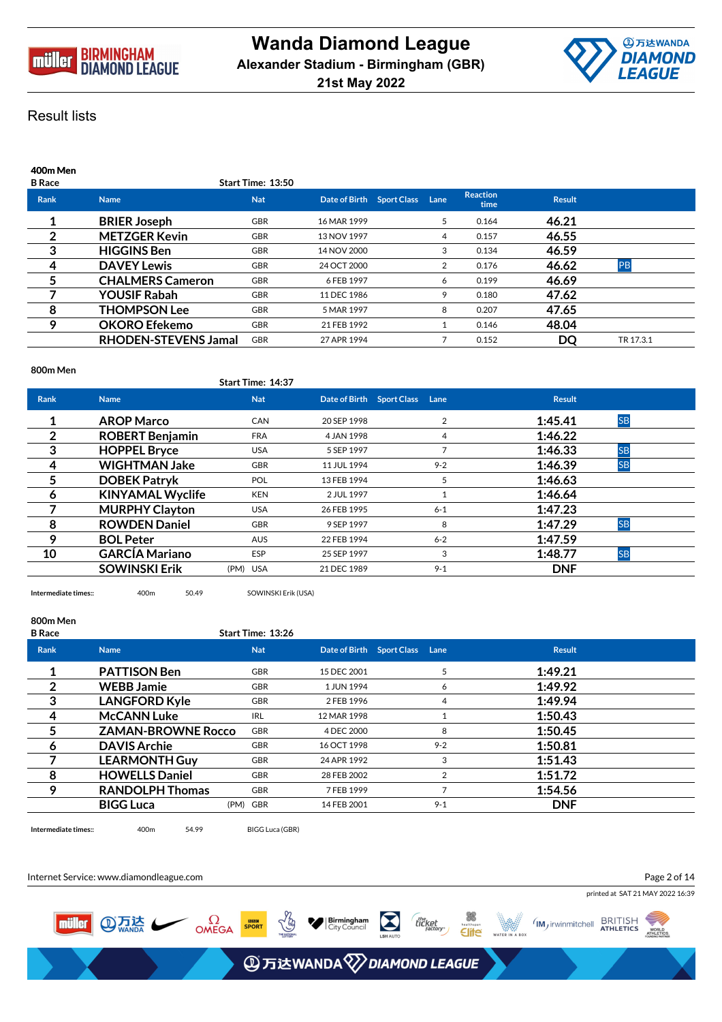



| 400m Men<br><b>B</b> Race |                             | Start Time: 13:50 |                           |      |                         |               |           |
|---------------------------|-----------------------------|-------------------|---------------------------|------|-------------------------|---------------|-----------|
| <b>Rank</b>               | <b>Name</b>                 | <b>Nat</b>        | Date of Birth Sport Class | Lane | <b>Reaction</b><br>time | <b>Result</b> |           |
| 1                         | <b>BRIER Joseph</b>         | <b>GBR</b>        | 16 MAR 1999               | 5.   | 0.164                   | 46.21         |           |
| 2                         | <b>METZGER Kevin</b>        | <b>GBR</b>        | 13 NOV 1997               | 4    | 0.157                   | 46.55         |           |
| 3                         | <b>HIGGINS Ben</b>          | <b>GBR</b>        | 14 NOV 2000               | 3    | 0.134                   | 46.59         |           |
| 4                         | <b>DAVEY Lewis</b>          | <b>GBR</b>        | 24 OCT 2000               | 2    | 0.176                   | 46.62         | PB        |
| 5                         | <b>CHALMERS Cameron</b>     | <b>GBR</b>        | 6 FEB 1997                | 6    | 0.199                   | 46.69         |           |
|                           | <b>YOUSIF Rabah</b>         | <b>GBR</b>        | 11 DEC 1986               | 9    | 0.180                   | 47.62         |           |
| 8                         | <b>THOMPSON Lee</b>         | <b>GBR</b>        | 5 MAR 1997                | 8    | 0.207                   | 47.65         |           |
| 9                         | <b>OKORO Efekemo</b>        | <b>GBR</b>        | 21 FEB 1992               |      | 0.146                   | 48.04         |           |
|                           | <b>RHODEN-STEVENS Jamal</b> | <b>GBR</b>        | 27 APR 1994               |      | 0.152                   | DQ            | TR 17.3.1 |

## **800m Men**

|             |                         | Start Time: 14:37 |             |                                |                |               |           |  |
|-------------|-------------------------|-------------------|-------------|--------------------------------|----------------|---------------|-----------|--|
| <b>Rank</b> | <b>Name</b>             | <b>Nat</b>        |             | Date of Birth Sport Class Lane |                | <b>Result</b> |           |  |
|             | <b>AROP Marco</b>       | <b>CAN</b>        | 20 SEP 1998 |                                | 2              | 1:45.41       | <b>SB</b> |  |
| 2           | <b>ROBERT Benjamin</b>  | <b>FRA</b>        | 4 JAN 1998  |                                | 4              | 1:46.22       |           |  |
| 3           | <b>HOPPEL Bryce</b>     | <b>USA</b>        | 5 SEP 1997  |                                | $\overline{7}$ | 1:46.33       | <b>SB</b> |  |
| 4           | <b>WIGHTMAN Jake</b>    | <b>GBR</b>        | 11 JUL 1994 |                                | $9 - 2$        | 1:46.39       | <b>SB</b> |  |
| 5           | <b>DOBEK Patryk</b>     | <b>POL</b>        | 13 FEB 1994 |                                | 5              | 1:46.63       |           |  |
| 6           | <b>KINYAMAL Wyclife</b> | <b>KEN</b>        | 2 JUL 1997  |                                |                | 1:46.64       |           |  |
|             | <b>MURPHY Clayton</b>   | <b>USA</b>        | 26 FEB 1995 |                                | $6 - 1$        | 1:47.23       |           |  |
| 8           | <b>ROWDEN Daniel</b>    | <b>GBR</b>        | 9 SEP 1997  |                                | 8              | 1:47.29       | <b>SB</b> |  |
| 9           | <b>BOL Peter</b>        | <b>AUS</b>        | 22 FEB 1994 |                                | $6 - 2$        | 1:47.59       |           |  |
| 10          | <b>GARCÍA Mariano</b>   | <b>ESP</b>        | 25 SEP 1997 |                                | 3              | 1:48.77       | <b>SB</b> |  |
|             | <b>SOWINSKI Erik</b>    | (PM) USA          | 21 DEC 1989 |                                | $9 - 1$        | <b>DNF</b>    |           |  |

**Intermediate times::** 400m 50.49 SOWINSKI Erik (USA)

## **800m Men**

| <b>B</b> Race |                           | Start Time: 13:26 |             |                                |               |  |
|---------------|---------------------------|-------------------|-------------|--------------------------------|---------------|--|
| <b>Rank</b>   | <b>Name</b>               | <b>Nat</b>        |             | Date of Birth Sport Class Lane | <b>Result</b> |  |
|               | <b>PATTISON Ben</b>       | <b>GBR</b>        | 15 DEC 2001 |                                | 1:49.21       |  |
| 2             | <b>WEBB Jamie</b>         | <b>GBR</b>        | 1 JUN 1994  | 6                              | 1:49.92       |  |
| 3             | <b>LANGFORD Kyle</b>      | <b>GBR</b>        | 2 FEB 1996  | $\overline{4}$                 | 1:49.94       |  |
| 4             | <b>McCANN Luke</b>        | <b>IRL</b>        | 12 MAR 1998 |                                | 1:50.43       |  |
| 5             | <b>ZAMAN-BROWNE Rocco</b> | <b>GBR</b>        | 4 DEC 2000  | 8                              | 1:50.45       |  |
| 6             | <b>DAVIS Archie</b>       | <b>GBR</b>        | 16 OCT 1998 | $9 - 2$                        | 1:50.81       |  |
|               | <b>LEARMONTH Guy</b>      | <b>GBR</b>        | 24 APR 1992 | 3                              | 1:51.43       |  |
| 8             | <b>HOWELLS Daniel</b>     | <b>GBR</b>        | 28 FEB 2002 | 2                              | 1:51.72       |  |
| 9             | <b>RANDOLPH Thomas</b>    | <b>GBR</b>        | 7 FEB 1999  |                                | 1:54.56       |  |
|               | <b>BIGG Luca</b>          | (PM) GBR          | 14 FEB 2001 | $9 - 1$                        | <b>DNF</b>    |  |

**Intermediate times::** 400m 54.99 BIGG Luca (GBR)

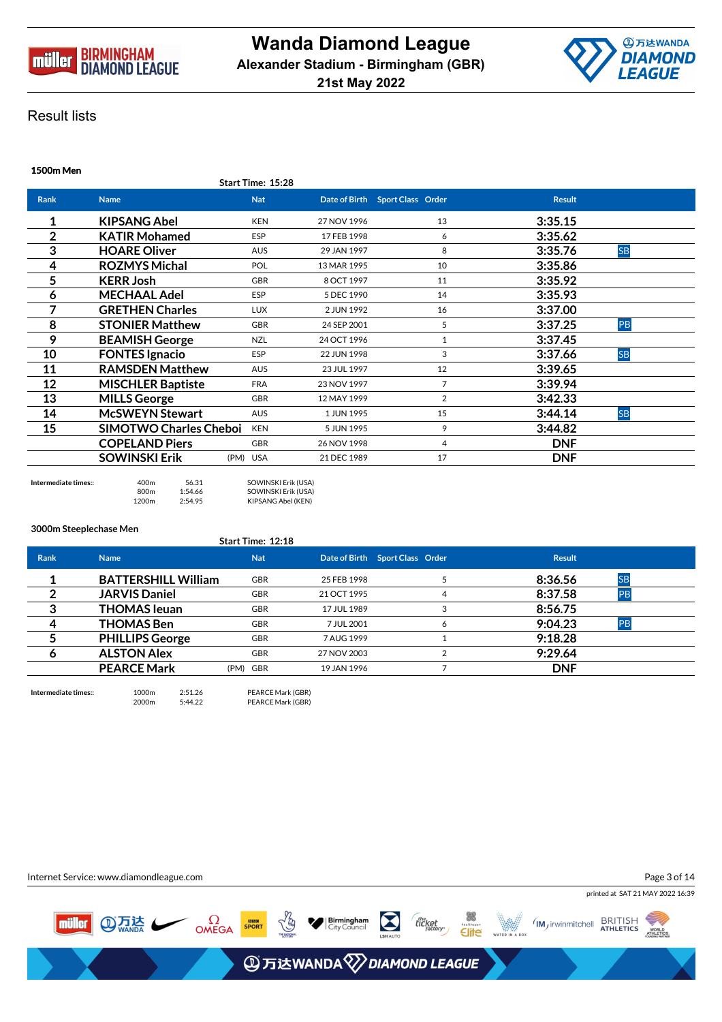



| <b>1500m Men</b> |                               |          |                   |             |                                   |                |               |           |
|------------------|-------------------------------|----------|-------------------|-------------|-----------------------------------|----------------|---------------|-----------|
|                  |                               |          | Start Time: 15:28 |             |                                   |                |               |           |
| <b>Rank</b>      | <b>Name</b>                   |          | <b>Nat</b>        |             | Date of Birth  Sport Class  Order |                | <b>Result</b> |           |
|                  | <b>KIPSANG Abel</b>           |          | <b>KEN</b>        | 27 NOV 1996 |                                   | 13             | 3:35.15       |           |
| 2                | <b>KATIR Mohamed</b>          |          | ESP               | 17 FEB 1998 |                                   | 6              | 3:35.62       |           |
| 3                | <b>HOARE Oliver</b>           |          | <b>AUS</b>        | 29 JAN 1997 |                                   | 8              | 3:35.76       | <b>SB</b> |
| 4                | <b>ROZMYS Michal</b>          |          | POL               | 13 MAR 1995 |                                   | 10             | 3:35.86       |           |
| 5                | <b>KERR Josh</b>              |          | <b>GBR</b>        | 8 OCT 1997  |                                   | 11             | 3:35.92       |           |
| 6                | <b>MECHAAL Adel</b>           |          | ESP               | 5 DEC 1990  |                                   | 14             | 3:35.93       |           |
| 7                | <b>GRETHEN Charles</b>        |          | <b>LUX</b>        | 2 JUN 1992  |                                   | 16             | 3:37.00       |           |
| 8                | <b>STONIER Matthew</b>        |          | <b>GBR</b>        | 24 SEP 2001 |                                   | 5              | 3:37.25       | PB        |
| 9                | <b>BEAMISH George</b>         |          | <b>NZL</b>        | 24 OCT 1996 |                                   | $\mathbf{1}$   | 3:37.45       |           |
| 10               | <b>FONTES Ignacio</b>         |          | <b>ESP</b>        | 22 JUN 1998 |                                   | 3              | 3:37.66       | <b>SB</b> |
| 11               | <b>RAMSDEN Matthew</b>        |          | <b>AUS</b>        | 23 JUL 1997 |                                   | 12             | 3:39.65       |           |
| 12               | <b>MISCHLER Baptiste</b>      |          | <b>FRA</b>        | 23 NOV 1997 |                                   | $\overline{7}$ | 3:39.94       |           |
| 13               | <b>MILLS George</b>           |          | <b>GBR</b>        | 12 MAY 1999 |                                   | 2              | 3:42.33       |           |
| 14               | <b>McSWEYN Stewart</b>        |          | <b>AUS</b>        | 1 JUN 1995  |                                   | 15             | 3:44.14       | <b>SB</b> |
| 15               | <b>SIMOTWO Charles Cheboi</b> |          | <b>KEN</b>        | 5 JUN 1995  |                                   | 9              | 3:44.82       |           |
|                  | <b>COPELAND Piers</b>         |          | <b>GBR</b>        | 26 NOV 1998 |                                   | 4              | <b>DNF</b>    |           |
|                  | <b>SOWINSKI Erik</b>          | (PM) USA |                   | 21 DEC 1989 |                                   | 17             | <b>DNF</b>    |           |
|                  |                               |          |                   |             |                                   |                |               |           |

**Intermediate times::** 400m 56.31 SOWINSKI Erik (USA) 800m 1:54.66 SOWINSKI Erik (USA) 1200m 2:54.95 KIPSANG Abel (KEN)

#### **3000m Steeplechase Men**

|             |                            | Start Time: 12:18 |             |                                 |               |           |  |
|-------------|----------------------------|-------------------|-------------|---------------------------------|---------------|-----------|--|
| <b>Rank</b> | <b>Name</b>                | <b>Nat</b>        |             | Date of Birth Sport Class Order | <b>Result</b> |           |  |
|             | <b>BATTERSHILL William</b> | <b>GBR</b>        | 25 FEB 1998 |                                 | 8:36.56       | <b>SB</b> |  |
|             | <b>JARVIS Daniel</b>       | <b>GBR</b>        | 21 OCT 1995 |                                 | 8:37.58       | <b>PB</b> |  |
|             | <b>THOMAS leuan</b>        | <b>GBR</b>        | 17 JUL 1989 |                                 | 8:56.75       |           |  |
| 4           | <b>THOMAS Ben</b>          | <b>GBR</b>        | 7 JUL 2001  |                                 | 9:04.23       | <b>PB</b> |  |
|             | <b>PHILLIPS George</b>     | <b>GBR</b>        | 7 AUG 1999  |                                 | 9:18.28       |           |  |
|             | <b>ALSTON Alex</b>         | <b>GBR</b>        | 27 NOV 2003 |                                 | 9:29.64       |           |  |
|             | <b>PEARCE Mark</b>         | (PM) GBR          | 19 JAN 1996 |                                 | <b>DNF</b>    |           |  |
|             |                            |                   |             |                                 |               |           |  |

**Intermediate times::** 1000m 2:51.26 PEARCE Mark (GBR)<br>2000m 5:44.22 PEARCE Mark (GBR) PEARCE Mark (GBR)

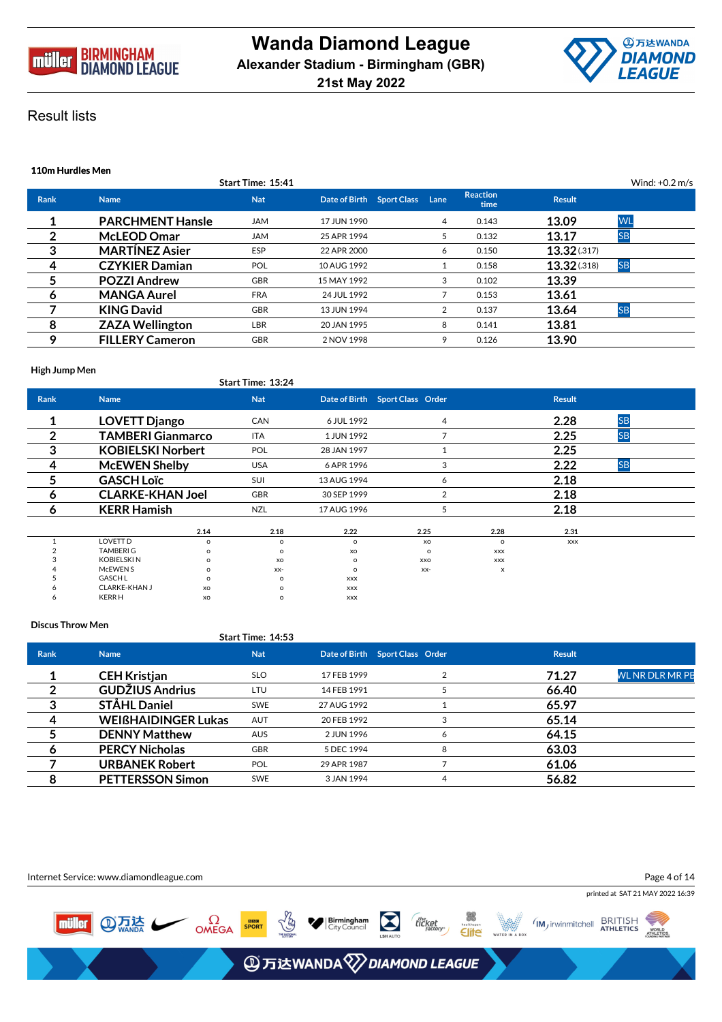



| 110m Hurdles Men |                         |                   |                                |  |                |                         |               |                  |  |
|------------------|-------------------------|-------------------|--------------------------------|--|----------------|-------------------------|---------------|------------------|--|
|                  |                         | Start Time: 15:41 |                                |  |                |                         |               | Wind: $+0.2$ m/s |  |
| Rank             | <b>Name</b>             | <b>Nat</b>        | Date of Birth Sport Class Lane |  |                | <b>Reaction</b><br>time | <b>Result</b> |                  |  |
|                  | <b>PARCHMENT Hansle</b> | <b>JAM</b>        | 17 JUN 1990                    |  | 4              | 0.143                   | 13.09         | <b>WL</b>        |  |
| 2                | <b>McLEOD Omar</b>      | <b>JAM</b>        | 25 APR 1994                    |  | 5.             | 0.132                   | 13.17         | <b>SB</b>        |  |
| 3                | <b>MARTINEZ Asier</b>   | <b>ESP</b>        | 22 APR 2000                    |  | 6              | 0.150                   | 13.32 (.317)  |                  |  |
| 4                | <b>CZYKIER Damian</b>   | <b>POL</b>        | 10 AUG 1992                    |  |                | 0.158                   | 13.32(.318)   | <b>SB</b>        |  |
| 5                | <b>POZZI Andrew</b>     | <b>GBR</b>        | 15 MAY 1992                    |  | 3              | 0.102                   | 13.39         |                  |  |
| 6                | <b>MANGA Aurel</b>      | <b>FRA</b>        | 24 JUL 1992                    |  |                | 0.153                   | 13.61         |                  |  |
|                  | <b>KING David</b>       | <b>GBR</b>        | 13 JUN 1994                    |  | $\overline{2}$ | 0.137                   | 13.64         | <b>SB</b>        |  |
| 8                | <b>ZAZA Wellington</b>  | LBR               | 20 JAN 1995                    |  | 8              | 0.141                   | 13.81         |                  |  |
| 9                | <b>FILLERY Cameron</b>  | <b>GBR</b>        | 2 NOV 1998                     |  | 9              | 0.126                   | 13.90         |                  |  |

## **High Jump Men**

|                |                          |          | Start Time: 13:24 |             |                                 |            |               |           |  |
|----------------|--------------------------|----------|-------------------|-------------|---------------------------------|------------|---------------|-----------|--|
| <b>Rank</b>    | <b>Name</b>              |          | <b>Nat</b>        |             | Date of Birth Sport Class Order |            | <b>Result</b> |           |  |
|                | <b>LOVETT Django</b>     |          | CAN               | 6 JUL 1992  |                                 | 4          | 2.28          | <b>SB</b> |  |
| $\overline{2}$ | <b>TAMBERI Gianmarco</b> |          | ITA               | 1 JUN 1992  |                                 | 7          | 2.25          | <b>SB</b> |  |
| 3              | <b>KOBIELSKI Norbert</b> |          | <b>POL</b>        | 28 JAN 1997 |                                 | 1          | 2.25          |           |  |
| 4              | <b>McEWEN Shelby</b>     |          | <b>USA</b>        | 6 APR 1996  |                                 | 3          | 2.22          | <b>SB</b> |  |
| 5              | <b>GASCH Loïc</b>        |          | SUI               | 13 AUG 1994 |                                 | 6          | 2.18          |           |  |
| 6              | <b>CLARKE-KHAN Joel</b>  |          | GBR               | 30 SEP 1999 |                                 | 2          | 2.18          |           |  |
| 6              | <b>KERR Hamish</b>       |          | <b>NZL</b>        | 17 AUG 1996 |                                 | 5          | 2.18          |           |  |
|                |                          | 2.14     | 2.18              | 2.22        | 2.25                            | 2.28       | 2.31          |           |  |
|                | LOVETT D                 | $\circ$  | $\circ$           | $\Omega$    | XO                              | $\circ$    | <b>XXX</b>    |           |  |
|                | <b>TAMBERIG</b>          | $\circ$  | $\circ$           | xo          | $\circ$                         | <b>XXX</b> |               |           |  |
|                | <b>KOBIELSKIN</b>        | $\Omega$ | XO                | $\Omega$    | XXO                             | <b>XXX</b> |               |           |  |
|                | McEWEN <sub>S</sub>      | $\circ$  | $XX-$             | $\Omega$    | $XX-$                           | x          |               |           |  |
|                | <b>GASCH L</b>           | $\circ$  | o                 | <b>XXX</b>  |                                 |            |               |           |  |
|                | CLARKE-KHAN J            | XO       | $\Omega$          | <b>XXX</b>  |                                 |            |               |           |  |
|                | <b>KERRH</b>             | XO       | o                 | <b>XXX</b>  |                                 |            |               |           |  |

## **Discus Throw Men**

|             |                            | Start Time: 14:53 |             |                                 |               |                        |
|-------------|----------------------------|-------------------|-------------|---------------------------------|---------------|------------------------|
| <b>Rank</b> | <b>Name</b>                | <b>Nat</b>        |             | Date of Birth Sport Class Order | <b>Result</b> |                        |
|             | <b>CEH Kristjan</b>        | SLO.              | 17 FEB 1999 |                                 | 71.27         | <b>WL NR DLR MR PB</b> |
|             | <b>GUDŽIUS Andrius</b>     | <b>LTU</b>        | 14 FEB 1991 |                                 | 66.40         |                        |
|             | <b>STÅHL Daniel</b>        | <b>SWE</b>        | 27 AUG 1992 |                                 | 65.97         |                        |
| 4           | <b>WEIGHAIDINGER Lukas</b> | <b>AUT</b>        | 20 FEB 1992 | 3                               | 65.14         |                        |
|             | <b>DENNY Matthew</b>       | <b>AUS</b>        | 2 JUN 1996  | 6                               | 64.15         |                        |
| 6           | <b>PERCY Nicholas</b>      | <b>GBR</b>        | 5 DEC 1994  | 8                               | 63.03         |                        |
|             | <b>URBANEK Robert</b>      | <b>POL</b>        | 29 APR 1987 |                                 | 61.06         |                        |
|             | <b>PETTERSSON Simon</b>    | <b>SWE</b>        | 3 JAN 1994  | 4                               | 56.82         |                        |

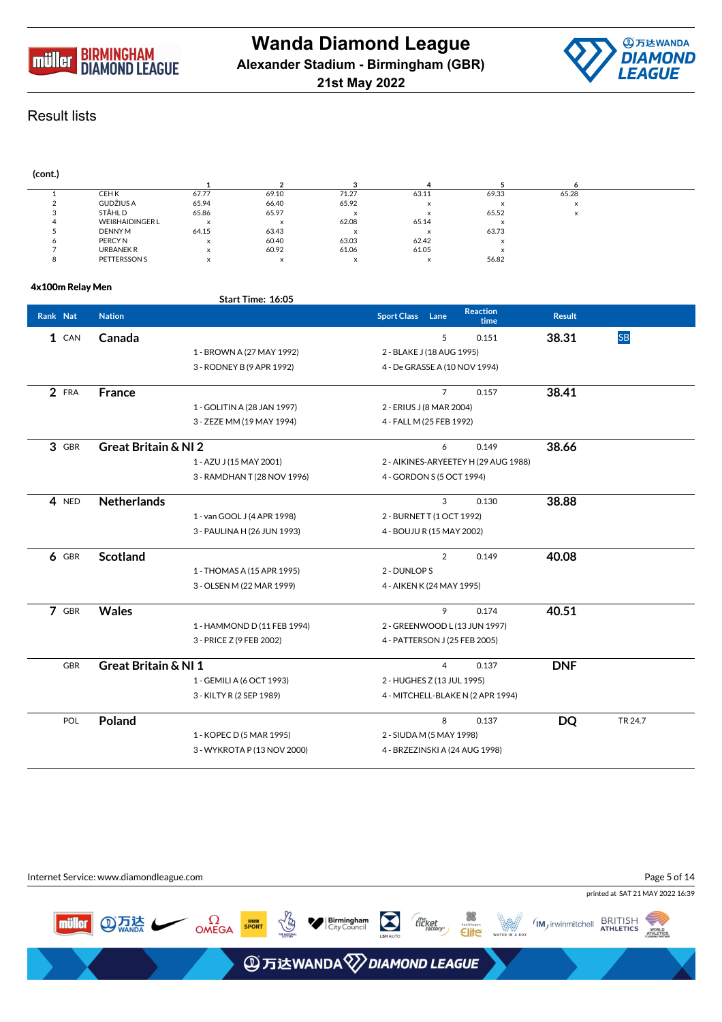



#### **(cont.) 1 2 3 4 5 6** 1 CEH K 67.77 69.10 71.27 63.11 69.33 65.28 2 GUDŽIUS A 65.94 66.40 65.92 <sup>x</sup> <sup>x</sup> <sup>x</sup> 3 STÅHL D 65.86 65.97 <sup>x</sup> <sup>x</sup> 65.52 <sup>x</sup> 4 WEIGHAIDINGER L X X 62.08 65.14 X<br>5 DENNYM 64.15 63.43 x x 63.73 5 DENNY M 64.15 63.43 <sup>x</sup> <sup>x</sup> 63.73 6 PERCY N <sup>x</sup> 60.40 63.03 62.42 <sup>x</sup> 7 URBANEK R <sup>x</sup> 60.92 61.06 61.05 <sup>x</sup>  $\frac{1}{8}$  PETTERSSON S  $\frac{1}{8}$  x  $\frac{1}{8}$  x  $\frac{1}{8}$  56.82

## **4x100m Relay Men**

|          |         |                                 | Start Time: 16:05           |                               |                |                                      |               |           |
|----------|---------|---------------------------------|-----------------------------|-------------------------------|----------------|--------------------------------------|---------------|-----------|
| Rank Nat |         | <b>Nation</b>                   |                             | <b>Sport Class Lane</b>       |                | <b>Reaction</b><br>time              | <b>Result</b> |           |
|          | 1 CAN   | Canada                          |                             |                               | 5              | 0.151                                | 38.31         | <b>SB</b> |
|          |         |                                 | 1 - BROWN A (27 MAY 1992)   | 2 - BLAKE J (18 AUG 1995)     |                |                                      |               |           |
|          |         |                                 | 3 - RODNEY B (9 APR 1992)   | 4 - De GRASSE A (10 NOV 1994) |                |                                      |               |           |
|          | 2 FRA   | <b>France</b>                   |                             |                               | $\overline{7}$ | 0.157                                | 38.41         |           |
|          |         |                                 | 1 - GOLITIN A (28 JAN 1997) | 2 - ERIUS J (8 MAR 2004)      |                |                                      |               |           |
|          |         |                                 | 3 - ZEZE MM (19 MAY 1994)   | 4 - FALL M (25 FEB 1992)      |                |                                      |               |           |
|          | 3 GBR   | <b>Great Britain &amp; NI 2</b> |                             |                               | 6              | 0.149                                | 38.66         |           |
|          |         |                                 | 1 - AZU J (15 MAY 2001)     |                               |                | 2 - AIKINES-ARYEETEY H (29 AUG 1988) |               |           |
|          |         |                                 | 3 - RAMDHAN T (28 NOV 1996) | 4 - GORDON S (5 OCT 1994)     |                |                                      |               |           |
|          | 4 NED   | <b>Netherlands</b>              |                             |                               | 3              | 0.130                                | 38.88         |           |
|          |         |                                 | 1 - van GOOL J (4 APR 1998) | 2 - BURNET T (1 OCT 1992)     |                |                                      |               |           |
|          |         |                                 | 3 - PAULINA H (26 JUN 1993) | 4 - BOUJU R (15 MAY 2002)     |                |                                      |               |           |
|          | $6$ GBR | <b>Scotland</b>                 |                             |                               | $\overline{2}$ | 0.149                                | 40.08         |           |
|          |         |                                 | 1 - THOMAS A (15 APR 1995)  | 2 - DUNLOP S                  |                |                                      |               |           |
|          |         |                                 | 3 - OLSEN M (22 MAR 1999)   | 4 - AIKEN K (24 MAY 1995)     |                |                                      |               |           |
|          | 7 GBR   | <b>Wales</b>                    |                             |                               | 9              | 0.174                                | 40.51         |           |
|          |         |                                 | 1 - HAMMOND D (11 FEB 1994) |                               |                | 2 - GREENWOOD L (13 JUN 1997)        |               |           |
|          |         |                                 | 3 - PRICE Z (9 FEB 2002)    | 4 - PATTERSON J (25 FEB 2005) |                |                                      |               |           |
|          | GBR     | <b>Great Britain &amp; NI 1</b> |                             |                               | $\overline{4}$ | 0.137                                | <b>DNF</b>    |           |
|          |         |                                 | 1 - GEMILI A (6 OCT 1993)   | 2 - HUGHES Z (13 JUL 1995)    |                |                                      |               |           |
|          |         |                                 | 3 - KILTY R (2 SEP 1989)    |                               |                | 4 - MITCHELL-BLAKE N (2 APR 1994)    |               |           |
|          | POL     | Poland                          |                             |                               | 8              | 0.137                                | <b>DQ</b>     | TR 24.7   |
|          |         |                                 | 1 - KOPEC D (5 MAR 1995)    | 2 - SIUDA M (5 MAY 1998)      |                |                                      |               |           |
|          |         |                                 | 3 - WYKROTA P (13 NOV 2000) |                               |                | 4 - BRZEZINSKI A (24 AUG 1998)       |               |           |
|          |         |                                 |                             |                               |                |                                      |               |           |

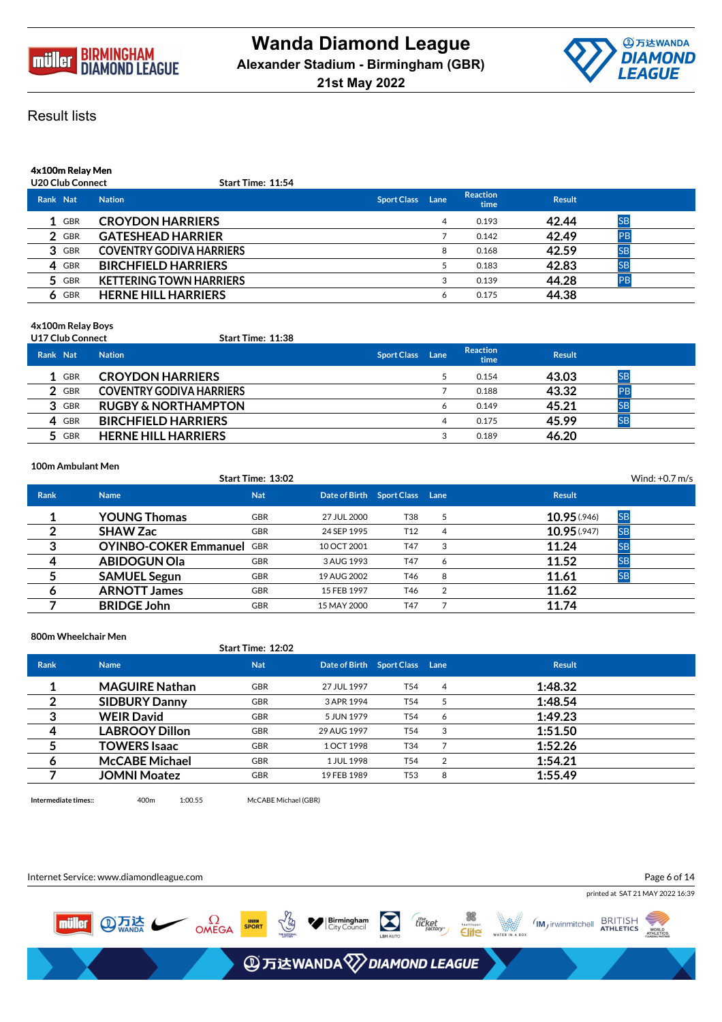



# **4x100m Relay Men**

| <b>U20 Club Connect</b> | <b>Start Time: 11:54</b> |
|-------------------------|--------------------------|

| Rank Nat |            | <b>Nation</b>                   | <b>Sport Class</b> | Lane | <b>Reaction</b><br>time | <b>Result</b> |           |
|----------|------------|---------------------------------|--------------------|------|-------------------------|---------------|-----------|
|          | 1 GBR      | <b>CROYDON HARRIERS</b>         |                    | 4    | 0.193                   | 42.44         | <b>SB</b> |
|          | 2 GBR      | <b>GATESHEAD HARRIER</b>        |                    |      | 0.142                   | 42.49         | PB        |
|          | 3 GBR      | <b>COVENTRY GODIVA HARRIERS</b> |                    | 8    | 0.168                   | 42.59         | <b>SB</b> |
|          | 4 GBR      | <b>BIRCHFIELD HARRIERS</b>      |                    |      | 0.183                   | 42.83         | <b>SB</b> |
|          | 5 GBR      | <b>KETTERING TOWN HARRIERS</b>  |                    | 3    | 0.139                   | 44.28         | PB        |
|          | <b>GBR</b> | <b>HERNE HILL HARRIERS</b>      |                    | 6    | 0.175                   | 44.38         |           |

## **4x100m Relay Boys**

|          | <b>U17 Club Connect</b> | Start Time: 11:38               |                    |      |                         |               |           |  |
|----------|-------------------------|---------------------------------|--------------------|------|-------------------------|---------------|-----------|--|
| Rank Nat |                         | <b>Nation</b>                   | <b>Sport Class</b> | Lane | <b>Reaction</b><br>time | <b>Result</b> |           |  |
|          | 1 GBR                   | <b>CROYDON HARRIERS</b>         |                    |      | 0.154                   | 43.03         | <b>SB</b> |  |
|          | 2 GBR                   | <b>COVENTRY GODIVA HARRIERS</b> |                    |      | 0.188                   | 43.32         | <b>PB</b> |  |
|          | 3 GBR                   | <b>RUGBY &amp; NORTHAMPTON</b>  |                    | 6    | 0.149                   | 45.21         |           |  |
|          | 4 GBR                   | <b>BIRCHFIELD HARRIERS</b>      |                    | 4    | 0.175                   | 45.99         | <b>SE</b> |  |
|          | 5 GBR                   | <b>HERNE HILL HARRIERS</b>      |                    |      | 0.189                   | 46.20         |           |  |

#### **100m Ambulant Men**

|             |                                  | Start Time: 13:02 |                                |                 |                |                           | Wind: $+0.7$ m/s |
|-------------|----------------------------------|-------------------|--------------------------------|-----------------|----------------|---------------------------|------------------|
| <b>Rank</b> | <b>Name</b>                      | <b>Nat</b>        | Date of Birth Sport Class Lane |                 |                | <b>Result</b>             |                  |
|             | <b>YOUNG Thomas</b>              | <b>GBR</b>        | 27 JUL 2000                    | T38             | 5              | <b>SB</b><br>10.95 (.946) |                  |
|             | <b>SHAW Zac</b>                  | <b>GBR</b>        | 24 SEP 1995                    | T <sub>12</sub> | 4              | 10.95(0.947)<br><b>SB</b> |                  |
| 3           | <b>OYINBO-COKER Emmanuel GBR</b> |                   | 10 OCT 2001                    | T47             | 3              | <b>SB</b><br>11.24        |                  |
| 4           | <b>ABIDOGUN Ola</b>              | <b>GBR</b>        | 3 AUG 1993                     | T47             | 6              | 11.52<br><b>SB</b>        |                  |
|             | <b>SAMUEL Segun</b>              | <b>GBR</b>        | 19 AUG 2002                    | T46             | 8              | <b>SB</b><br>11.61        |                  |
| 6           | <b>ARNOTT James</b>              | <b>GBR</b>        | 15 FEB 1997                    | T46             | $\overline{2}$ | 11.62                     |                  |
|             | <b>BRIDGE John</b>               | <b>GBR</b>        | 15 MAY 2000                    | T47             |                | 11.74                     |                  |

**800m Wheelchair Men**

# **Start Time: 12:02 Rank Name Nat Date of Birth Sport Class Lane Result 1 MAGUIRE Nathan** GBR 27 JUL 1997 T54 <sup>4</sup> **1:48.32 2 SIDBURY Danny** GBR 3 APR 1994 T54 <sup>5</sup> **1:48.54 3 WEIR David** GBR 5 JUN 1979 T54 <sup>6</sup> **1:49.23 4 LABROOY Dillon** GBR 29 AUG 1997 T54 <sup>3</sup> **1:51.50 5 TOWERS Isaac** GBR 1 OCT 1998 T34 <sup>7</sup> **1:52.26 6 McCABE Michael** GBR 1 JUL 1998 T54 <sup>2</sup> **1:54.21 7 JOMNI Moatez** GBR 19 FEB 1989 T53 <sup>8</sup> **1:55.49**

**Intermediate times::** 400m 1:00.55 McCABE Michael (GBR)

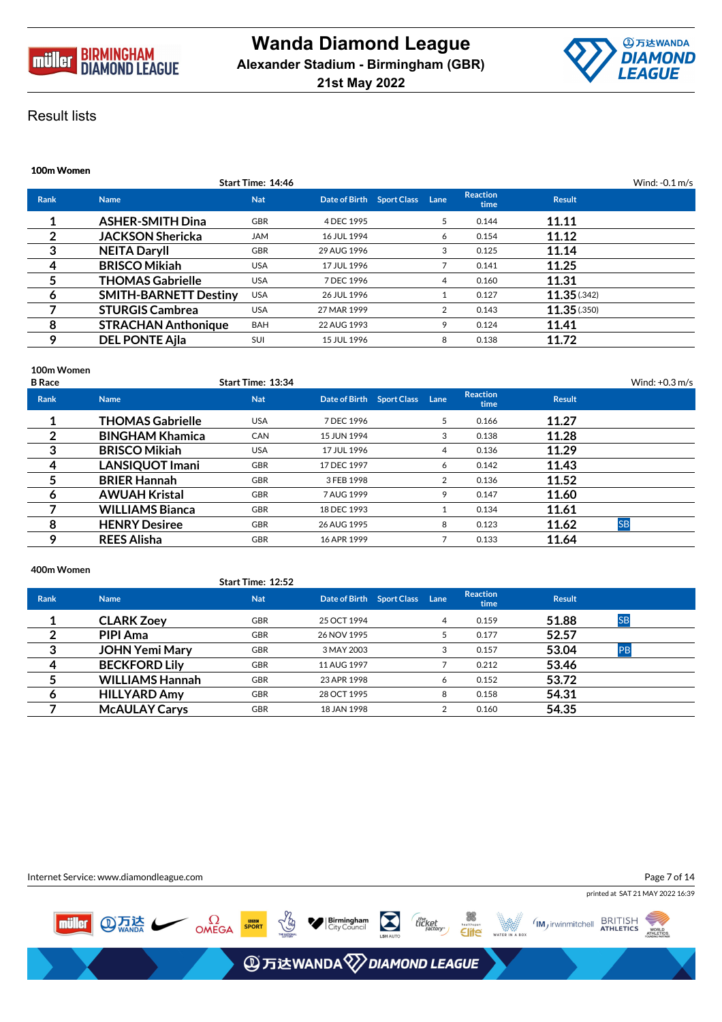



| Start Time: 14:46<br>Wind: $-0.1$ m/s                                                                                  |  |
|------------------------------------------------------------------------------------------------------------------------|--|
| <b>Reaction</b><br><b>Nat</b><br>Date of Birth Sport Class Lane<br><b>Rank</b><br><b>Result</b><br><b>Name</b><br>time |  |
| <b>ASHER-SMITH Dina</b><br>11.11<br><b>GBR</b><br>5<br>0.144<br>4 DEC 1995                                             |  |
| 2<br><b>JACKSON Shericka</b><br>11.12<br><b>JAM</b><br>0.154<br>16 JUL 1994<br>6                                       |  |
| 3<br>11.14<br><b>NEITA Daryll</b><br><b>GBR</b><br>3<br>0.125<br>29 AUG 1996                                           |  |
| <b>BRISCO Mikiah</b><br>11.25<br>4<br><b>USA</b><br>0.141<br>17 JUL 1996                                               |  |
| 5<br><b>THOMAS Gabrielle</b><br>11.31<br><b>USA</b><br>0.160<br>7 DEC 1996<br>4                                        |  |
| 11.35(.342)<br><b>SMITH-BARNETT Destiny</b><br><b>USA</b><br>0.127<br>26 JUL 1996<br>6                                 |  |
| <b>STURGIS Cambrea</b><br>11.35(0.350)<br><b>USA</b><br>2<br>0.143<br>27 MAR 1999                                      |  |
| 8<br><b>STRACHAN Anthonique</b><br>11.41<br><b>BAH</b><br>9<br>0.124<br>22 AUG 1993                                    |  |
| 9<br><b>DEL PONTE Ajla</b><br>11.72<br>SUI<br>8<br>0.138<br>15 JUL 1996                                                |  |

## **100m Women**

| <b>B</b> Race |                         | <b>Start Time: 13:34</b> |                           |      |                         |               | Wind: $+0.3$ m/s |
|---------------|-------------------------|--------------------------|---------------------------|------|-------------------------|---------------|------------------|
| <b>Rank</b>   | <b>Name</b>             | <b>Nat</b>               | Date of Birth Sport Class | Lane | <b>Reaction</b><br>time | <b>Result</b> |                  |
|               | <b>THOMAS Gabrielle</b> | <b>USA</b>               | 7 DEC 1996                | 5    | 0.166                   | 11.27         |                  |
| 2             | <b>BINGHAM Khamica</b>  | CAN                      | 15 JUN 1994               | 3    | 0.138                   | 11.28         |                  |
| 3             | <b>BRISCO Mikiah</b>    | <b>USA</b>               | 17 JUL 1996               | 4    | 0.136                   | 11.29         |                  |
| 4             | <b>LANSIQUOT Imani</b>  | <b>GBR</b>               | 17 DEC 1997               | 6    | 0.142                   | 11.43         |                  |
|               | <b>BRIER Hannah</b>     | <b>GBR</b>               | 3 FEB 1998                | 2    | 0.136                   | 11.52         |                  |
| 6             | <b>AWUAH Kristal</b>    | <b>GBR</b>               | 7 AUG 1999                | 9    | 0.147                   | 11.60         |                  |
|               | <b>WILLIAMS Bianca</b>  | <b>GBR</b>               | 18 DEC 1993               |      | 0.134                   | 11.61         |                  |
| 8             | <b>HENRY Desiree</b>    | <b>GBR</b>               | 26 AUG 1995               | 8    | 0.123                   | 11.62         | <b>SB</b>        |
| o             | <b>REES Alisha</b>      | <b>GBR</b>               | 16 APR 1999               |      | 0.133                   | 11.64         |                  |
|               |                         |                          |                           |      |                         |               |                  |

## **400m Women**

|             |                        | Start Time: 12:52 |                           |      |                         |               |           |  |
|-------------|------------------------|-------------------|---------------------------|------|-------------------------|---------------|-----------|--|
| <b>Rank</b> | <b>Name</b>            | <b>Nat</b>        | Date of Birth Sport Class | Lane | <b>Reaction</b><br>time | <b>Result</b> |           |  |
|             | <b>CLARK Zoey</b>      | <b>GBR</b>        | 25 OCT 1994               | 4    | 0.159                   | 51.88         | <b>SB</b> |  |
| 2           | <b>PIPI Ama</b>        | <b>GBR</b>        | 26 NOV 1995               |      | 0.177                   | 52.57         |           |  |
| 3           | <b>JOHN Yemi Mary</b>  | <b>GBR</b>        | 3 MAY 2003                |      | 0.157                   | 53.04         | PB        |  |
| 4           | <b>BECKFORD Lily</b>   | <b>GBR</b>        | 11 AUG 1997               |      | 0.212                   | 53.46         |           |  |
|             | <b>WILLIAMS Hannah</b> | <b>GBR</b>        | 23 APR 1998               | 6    | 0.152                   | 53.72         |           |  |
| 6           | <b>HILLYARD Amy</b>    | <b>GBR</b>        | 28 OCT 1995               | 8    | 0.158                   | 54.31         |           |  |
|             | <b>McAULAY Carys</b>   | <b>GBR</b>        | 18 JAN 1998               |      | 0.160                   | 54.35         |           |  |

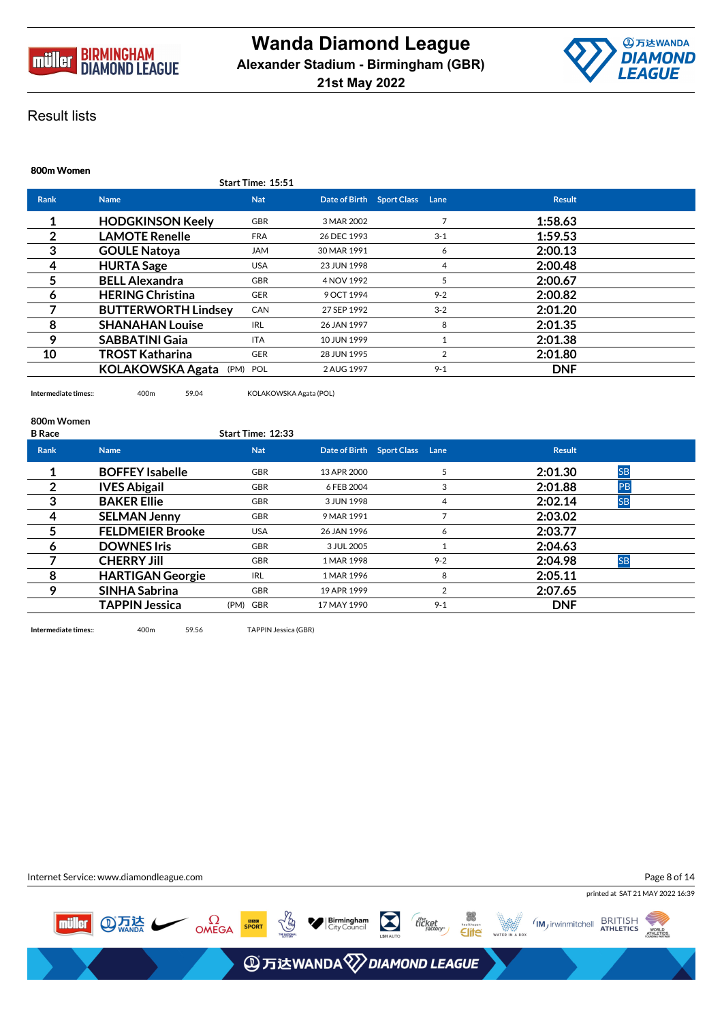



| 800m Women     |                            |                   |                           |         |   |               |
|----------------|----------------------------|-------------------|---------------------------|---------|---|---------------|
|                |                            | Start Time: 15:51 |                           |         |   |               |
| <b>Rank</b>    | <b>Name</b>                | <b>Nat</b>        | Date of Birth Sport Class | Lane    |   | <b>Result</b> |
|                | <b>HODGKINSON Keely</b>    | <b>GBR</b>        | 3 MAR 2002                |         |   | 1:58.63       |
| $\overline{2}$ | <b>LAMOTE Renelle</b>      | <b>FRA</b>        | 26 DEC 1993               | $3 - 1$ |   | 1:59.53       |
| 3              | <b>GOULE Natoya</b>        | <b>JAM</b>        | 30 MAR 1991               |         | 6 | 2:00.13       |
| 4              | <b>HURTA Sage</b>          | <b>USA</b>        | 23 JUN 1998               |         | 4 | 2:00.48       |
| 5              | <b>BELL Alexandra</b>      | <b>GBR</b>        | 4 NOV 1992                |         | 5 | 2:00.67       |
| 6              | <b>HERING Christina</b>    | <b>GER</b>        | 9 OCT 1994                | $9 - 2$ |   | 2:00.82       |
|                | <b>BUTTERWORTH Lindsey</b> | CAN               | 27 SEP 1992               | $3 - 2$ |   | 2:01.20       |
| 8              | <b>SHANAHAN Louise</b>     | <b>IRL</b>        | 26 JAN 1997               |         | 8 | 2:01.35       |
| 9              | <b>SABBATINI Gaia</b>      | <b>ITA</b>        | 10 JUN 1999               |         |   | 2:01.38       |
| 10             | TROST Katharina            | <b>GER</b>        | 28 JUN 1995               |         | 2 | 2:01.80       |
|                | <b>KOLAKOWSKA Agata</b>    | (PM) POL          | 2 AUG 1997                | $9 - 1$ |   | <b>DNF</b>    |

**Intermediate times::** 400m 59.04 KOLAKOWSKA Agata (POL)

#### **800m Women**

| <b>B</b> Race |                         | Start Time: 12:33 |             |                           |         |                       |  |
|---------------|-------------------------|-------------------|-------------|---------------------------|---------|-----------------------|--|
| <b>Rank</b>   | <b>Name</b>             | <b>Nat</b>        |             | Date of Birth Sport Class | Lane    | <b>Result</b>         |  |
|               | <b>BOFFEY Isabelle</b>  | <b>GBR</b>        | 13 APR 2000 |                           |         | <b>SB</b><br>2:01.30  |  |
| 2             | <b>IVES Abigail</b>     | <b>GBR</b>        | 6 FEB 2004  |                           |         | 2:01.88<br><b>IPB</b> |  |
| 3             | <b>BAKER Ellie</b>      | <b>GBR</b>        | 3 JUN 1998  |                           |         | 2:02.14<br><b>SB</b>  |  |
| 4             | <b>SELMAN Jenny</b>     | <b>GBR</b>        | 9 MAR 1991  |                           |         | 2:03.02               |  |
|               | <b>FELDMEIER Brooke</b> | <b>USA</b>        | 26 JAN 1996 |                           | 6       | 2:03.77               |  |
| 6             | <b>DOWNES Iris</b>      | <b>GBR</b>        | 3 JUL 2005  |                           |         | 2:04.63               |  |
|               | <b>CHERRY JIII</b>      | <b>GBR</b>        | 1 MAR 1998  |                           | $9 - 2$ | <b>SB</b><br>2:04.98  |  |
| 8             | <b>HARTIGAN Georgie</b> | <b>IRL</b>        | 1 MAR 1996  |                           | 8       | 2:05.11               |  |
| 9             | <b>SINHA Sabrina</b>    | <b>GBR</b>        | 19 APR 1999 |                           |         | 2:07.65               |  |
|               | <b>TAPPIN Jessica</b>   | (PM) GBR          | 17 MAY 1990 |                           | $9 - 1$ | <b>DNF</b>            |  |
|               |                         |                   |             |                           |         |                       |  |

**Intermediate times::** 400m 59.56 TAPPIN Jessica (GBR)

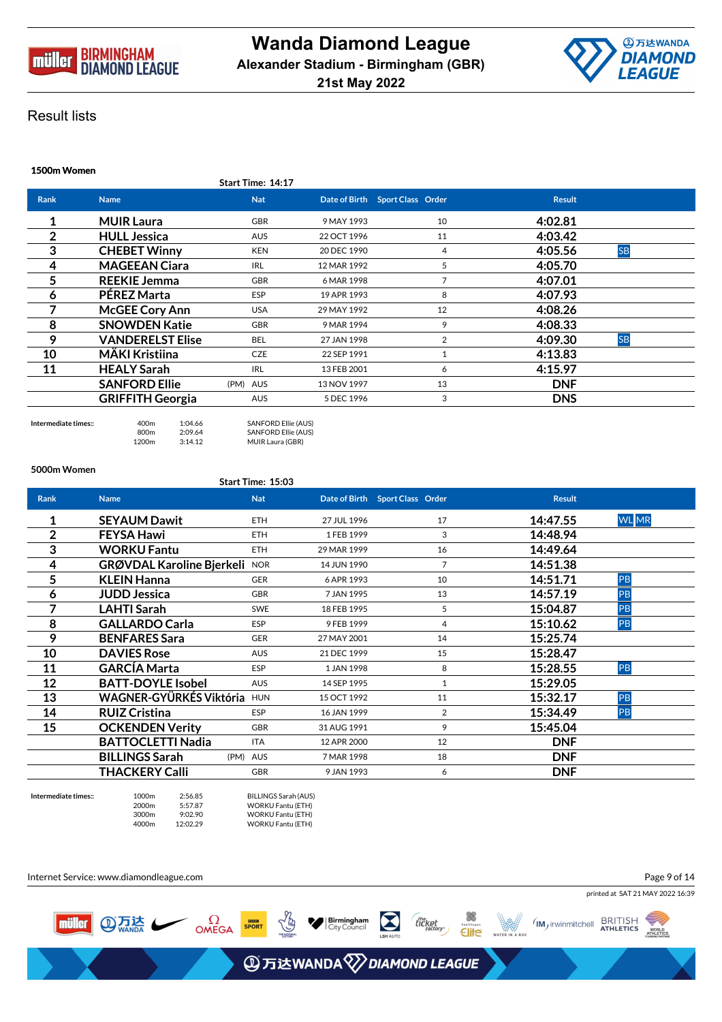



|                | 1500m Women             |                   |             |                                 |               |           |  |  |  |  |  |
|----------------|-------------------------|-------------------|-------------|---------------------------------|---------------|-----------|--|--|--|--|--|
|                |                         | Start Time: 14:17 |             |                                 |               |           |  |  |  |  |  |
| <b>Rank</b>    | <b>Name</b>             | <b>Nat</b>        |             | Date of Birth Sport Class Order | <b>Result</b> |           |  |  |  |  |  |
|                | <b>MUIR Laura</b>       | <b>GBR</b>        | 9 MAY 1993  | 10                              | 4:02.81       |           |  |  |  |  |  |
| $\overline{2}$ | <b>HULL Jessica</b>     | AUS               | 22 OCT 1996 | 11                              | 4:03.42       |           |  |  |  |  |  |
| 3              | <b>CHEBET Winny</b>     | <b>KEN</b>        | 20 DEC 1990 | 4                               | 4:05.56       | <b>SB</b> |  |  |  |  |  |
| 4              | <b>MAGEEAN Ciara</b>    | <b>IRL</b>        | 12 MAR 1992 | 5                               | 4:05.70       |           |  |  |  |  |  |
| 5              | <b>REEKIE Jemma</b>     | GBR               | 6 MAR 1998  |                                 | 4:07.01       |           |  |  |  |  |  |
| 6              | <b>PÉREZ Marta</b>      | ESP               | 19 APR 1993 | 8                               | 4:07.93       |           |  |  |  |  |  |
|                | <b>McGEE Cory Ann</b>   | <b>USA</b>        | 29 MAY 1992 | 12                              | 4:08.26       |           |  |  |  |  |  |
| 8              | <b>SNOWDEN Katie</b>    | GBR               | 9 MAR 1994  | 9                               | 4:08.33       |           |  |  |  |  |  |
| 9              | <b>VANDERELST Elise</b> | <b>BEL</b>        | 27 JAN 1998 | 2                               | 4:09.30       | <b>SB</b> |  |  |  |  |  |
| 10             | <b>MÄKI Kristiina</b>   | <b>CZE</b>        | 22 SEP 1991 |                                 | 4:13.83       |           |  |  |  |  |  |
| 11             | <b>HEALY Sarah</b>      | <b>IRL</b>        | 13 FEB 2001 | 6                               | 4:15.97       |           |  |  |  |  |  |
|                | <b>SANFORD Ellie</b>    | (PM) AUS          | 13 NOV 1997 | 13                              | <b>DNF</b>    |           |  |  |  |  |  |
|                | <b>GRIFFITH Georgia</b> | <b>AUS</b>        | 5 DEC 1996  | 3                               | <b>DNS</b>    |           |  |  |  |  |  |

**Intermediate times::** 400m 1:04.66 SANFORD Ellie (AUS)<br>800m 2:09.64 SANFORD Ellie (AUS) SANFORD Ellie (AUS) 1200m 3:14.12 MUIR Laura (GBR)

#### **5000m Women**

## **Start Time: 15:03**

| <b>Rank</b>    | <b>Name</b>                      | <b>Nat</b> |             | Date of Birth Sport Class Order | <b>Result</b> |              |
|----------------|----------------------------------|------------|-------------|---------------------------------|---------------|--------------|
|                | <b>SEYAUM Dawit</b>              | <b>ETH</b> | 27 JUL 1996 | 17                              | 14:47.55      | <b>WL</b> MR |
| $\overline{2}$ | <b>FEYSA Hawi</b>                | <b>ETH</b> | 1 FEB 1999  | 3                               | 14:48.94      |              |
| 3              | <b>WORKU Fantu</b>               | <b>ETH</b> | 29 MAR 1999 | 16                              | 14:49.64      |              |
| 4              | <b>GRØVDAL Karoline Bjerkeli</b> | <b>NOR</b> | 14 JUN 1990 | 7                               | 14:51.38      |              |
| 5              | <b>KLEIN Hanna</b>               | <b>GER</b> | 6 APR 1993  | 10                              | 14:51.71      | PB           |
| 6              | <b>JUDD Jessica</b>              | <b>GBR</b> | 7 JAN 1995  | 13                              | 14:57.19      | PB           |
| 7              | <b>LAHTI Sarah</b>               | <b>SWE</b> | 18 FEB 1995 | 5                               | 15:04.87      | PB           |
| 8              | <b>GALLARDO Carla</b>            | ESP        | 9 FEB 1999  | 4                               | 15:10.62      | PB           |
| 9              | <b>BENFARES Sara</b>             | <b>GER</b> | 27 MAY 2001 | 14                              | 15:25.74      |              |
| 10             | <b>DAVIES Rose</b>               | <b>AUS</b> | 21 DEC 1999 | 15                              | 15:28.47      |              |
| 11             | <b>GARCÍA Marta</b>              | ESP        | 1 JAN 1998  | 8                               | 15:28.55      | PB           |
| 12             | <b>BATT-DOYLE Isobel</b>         | <b>AUS</b> | 14 SEP 1995 |                                 | 15:29.05      |              |
| 13             | WAGNER-GYÜRKÉS Viktória          | <b>HUN</b> | 15 OCT 1992 | 11                              | 15:32.17      | PB           |
| 14             | <b>RUIZ Cristina</b>             | <b>ESP</b> | 16 JAN 1999 | 2                               | 15:34.49      | PB           |
| 15             | <b>OCKENDEN Verity</b>           | <b>GBR</b> | 31 AUG 1991 | 9                               | 15:45.04      |              |
|                | <b>BATTOCLETTI Nadia</b>         | <b>ITA</b> | 12 APR 2000 | 12                              | <b>DNF</b>    |              |
|                | <b>BILLINGS Sarah</b>            | (PM) AUS   | 7 MAR 1998  | 18                              | <b>DNF</b>    |              |
|                | THACKERY Calli                   | <b>GBR</b> | 9 JAN 1993  | 6                               | <b>DNF</b>    |              |

**Intermediate times::** 1000m 2:56.85 BILLINGS Sarah (AUS) 2000m 5:57.87 WORKU Fantu (ETH) 3000m 9:02.90 WORKU Fantu (ETH) WORKU Fantu (ETH)

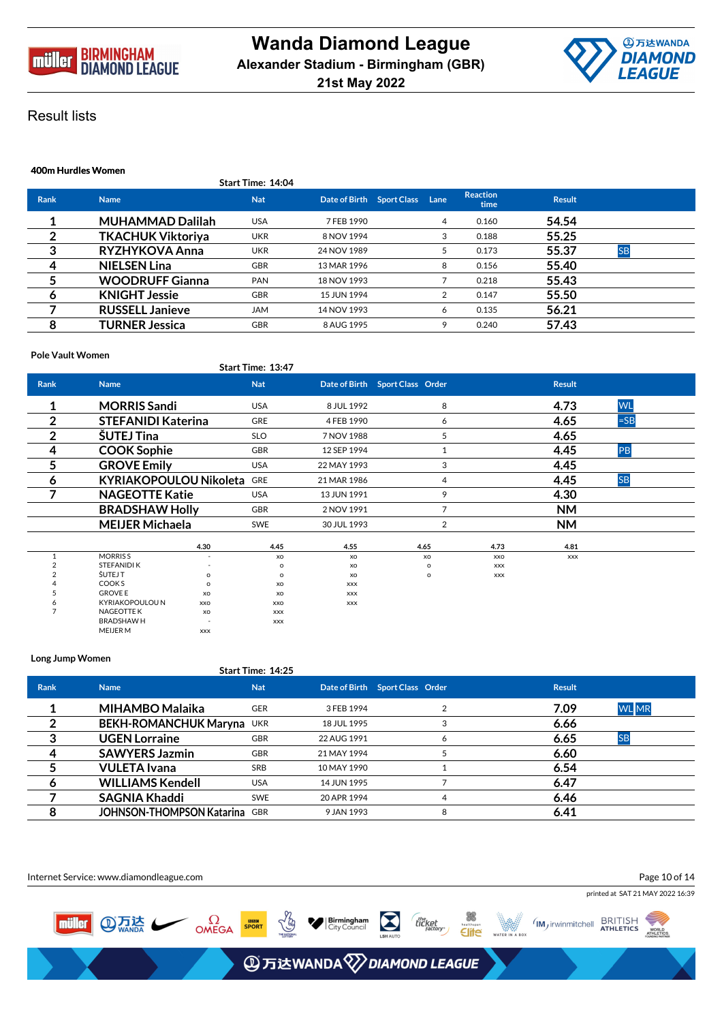



|                | 400m Hurdles Women       |                   |                           |  |      |                         |               |           |  |  |  |
|----------------|--------------------------|-------------------|---------------------------|--|------|-------------------------|---------------|-----------|--|--|--|
|                |                          | Start Time: 14:04 |                           |  |      |                         |               |           |  |  |  |
| <b>Rank</b>    | <b>Name</b>              | <b>Nat</b>        | Date of Birth Sport Class |  | Lane | <b>Reaction</b><br>time | <b>Result</b> |           |  |  |  |
|                | <b>MUHAMMAD Dalilah</b>  | <b>USA</b>        | 7 FEB 1990                |  | 4    | 0.160                   | 54.54         |           |  |  |  |
| $\overline{2}$ | <b>TKACHUK Viktoriya</b> | <b>UKR</b>        | 8 NOV 1994                |  | 3    | 0.188                   | 55.25         |           |  |  |  |
| 3              | RYZHYKOVA Anna           | <b>UKR</b>        | 24 NOV 1989               |  | 5.   | 0.173                   | 55.37         | <b>SB</b> |  |  |  |
| 4              | <b>NIELSEN Lina</b>      | <b>GBR</b>        | 13 MAR 1996               |  | 8    | 0.156                   | 55.40         |           |  |  |  |
| 5              | <b>WOODRUFF Gianna</b>   | <b>PAN</b>        | 18 NOV 1993               |  |      | 0.218                   | 55.43         |           |  |  |  |
| 6              | <b>KNIGHT Jessie</b>     | <b>GBR</b>        | 15 JUN 1994               |  |      | 0.147                   | 55.50         |           |  |  |  |
|                | <b>RUSSELL Janieve</b>   | <b>JAM</b>        | 14 NOV 1993               |  | 6    | 0.135                   | 56.21         |           |  |  |  |
| 8              | TURNER Jessica           | <b>GBR</b>        | 8 AUG 1995                |  | 9    | 0.240                   | 57.43         |           |  |  |  |

## **Pole Vault Women**

|                |                               |                | Start Time: 13:47 |             |                                   |            |               |           |
|----------------|-------------------------------|----------------|-------------------|-------------|-----------------------------------|------------|---------------|-----------|
| Rank           | <b>Name</b>                   |                | <b>Nat</b>        |             | Date of Birth  Sport Class  Order |            | <b>Result</b> |           |
| 1              | <b>MORRIS Sandi</b>           |                | <b>USA</b>        | 8 JUL 1992  | 8                                 |            | 4.73          | <b>WL</b> |
| $\overline{2}$ | <b>STEFANIDI Katerina</b>     |                | <b>GRE</b>        | 4 FEB 1990  | 6                                 |            | 4.65          | $=$ SB    |
| 2              | <b>SUTEJ Tina</b>             |                | <b>SLO</b>        | 7 NOV 1988  | 5                                 |            | 4.65          |           |
| 4              | <b>COOK Sophie</b>            |                | <b>GBR</b>        | 12 SEP 1994 | 1                                 |            | 4.45          | PB        |
| 5              | <b>GROVE Emily</b>            |                | <b>USA</b>        | 22 MAY 1993 | 3                                 |            | 4.45          |           |
| 6              | <b>KYRIAKOPOULOU Nikoleta</b> |                | <b>GRE</b>        | 21 MAR 1986 | 4                                 |            | 4.45          | <b>SB</b> |
|                | <b>NAGEOTTE Katie</b>         |                | <b>USA</b>        | 13 JUN 1991 | 9                                 |            | 4.30          |           |
|                | <b>BRADSHAW Holly</b>         |                | <b>GBR</b>        | 2 NOV 1991  | $\overline{7}$                    |            | <b>NM</b>     |           |
|                | <b>MEIJER Michaela</b>        |                | <b>SWE</b>        | 30 JUL 1993 | 2                                 |            | <b>NM</b>     |           |
|                |                               | 4.30           | 4.45              | 4.55        | 4.65                              | 4.73       | 4.81          |           |
|                | <b>MORRISS</b>                | $\overline{a}$ | XO                | XO          | XO                                | <b>XXO</b> | <b>XXX</b>    |           |
|                | STEFANIDI K                   |                | o                 | XO          | $\Omega$                          | <b>XXX</b> |               |           |
|                | ŠUTEJ T                       | $\Omega$       | o                 | XO          | $\circ$                           | <b>XXX</b> |               |           |
|                | COOK <sub>S</sub>             | $\Omega$       | XO                | <b>XXX</b>  |                                   |            |               |           |
|                | <b>GROVE E</b>                | XO             | XO                | <b>XXX</b>  |                                   |            |               |           |
| 6              | <b>KYRIAKOPOULOU N</b>        | XXO            | XXO               | <b>XXX</b>  |                                   |            |               |           |
|                | <b>NAGEOTTE K</b>             | XO             | <b>XXX</b>        |             |                                   |            |               |           |
|                | <b>BRADSHAWH</b>              |                | <b>XXX</b>        |             |                                   |            |               |           |
|                | <b>MEIJER M</b>               | <b>XXX</b>     |                   |             |                                   |            |               |           |

## **Long Jump Women**

|             |                                      | Start Time: 14:25 |             |                                 |               |              |
|-------------|--------------------------------------|-------------------|-------------|---------------------------------|---------------|--------------|
| <b>Rank</b> | <b>Name</b>                          | <b>Nat</b>        |             | Date of Birth Sport Class Order | <b>Result</b> |              |
|             | MIHAMBO Malaika                      | <b>GER</b>        | 3 FEB 1994  |                                 | 7.09          | <b>WL</b> MR |
|             | BEKH-ROMANCHUK Maryna UKR            |                   | 18 JUL 1995 | 3                               | 6.66          |              |
| 3           | <b>UGEN Lorraine</b>                 | <b>GBR</b>        | 22 AUG 1991 | 6                               | 6.65          | <b>ISB</b>   |
| 4           | <b>SAWYERS Jazmin</b>                | <b>GBR</b>        | 21 MAY 1994 |                                 | 6.60          |              |
|             | <b>VULETA</b> Ivana                  | <b>SRB</b>        | 10 MAY 1990 |                                 | 6.54          |              |
|             | <b>WILLIAMS Kendell</b>              | <b>USA</b>        | 14 JUN 1995 |                                 | 6.47          |              |
|             | <b>SAGNIA Khaddi</b>                 | <b>SWE</b>        | 20 APR 1994 | 4                               | 6.46          |              |
| 8           | <b>JOHNSON-THOMPSON Katarina GBR</b> |                   | 9 JAN 1993  | 8                               | 6.41          |              |

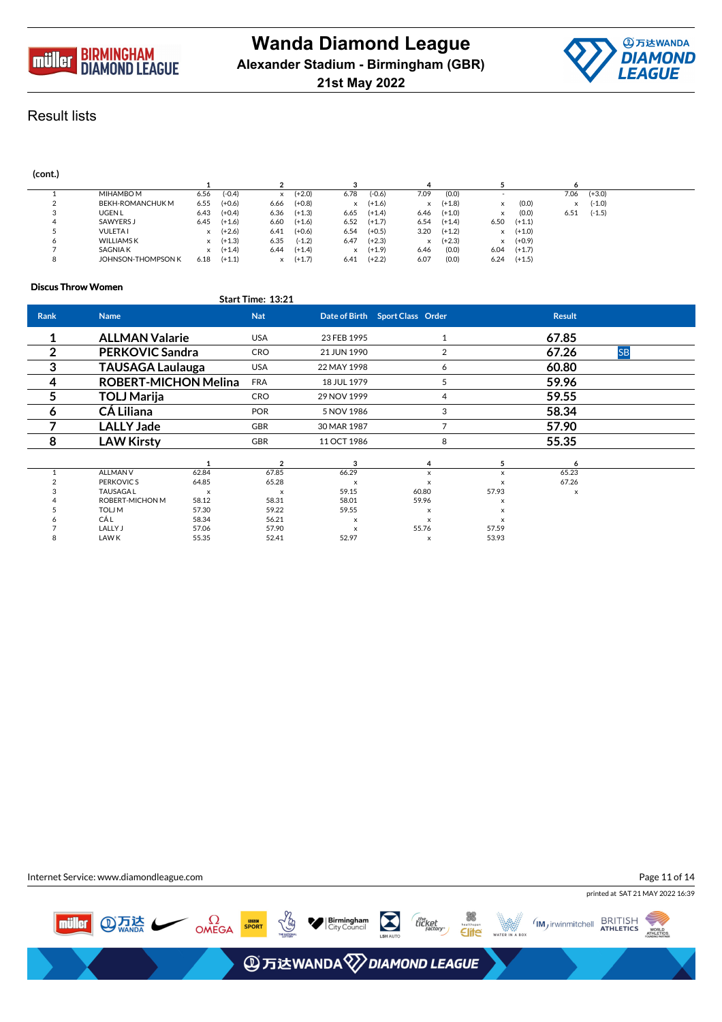



| (cont.) |                    |          |          |      |          |          |          |      |          |                          |          |              |          |  |
|---------|--------------------|----------|----------|------|----------|----------|----------|------|----------|--------------------------|----------|--------------|----------|--|
|         |                    |          |          |      |          |          |          |      |          |                          |          | <sub>o</sub> |          |  |
|         | MIHAMBO M          | 6.56     | $(-0.4)$ | x    | $(+2.0)$ | 6.78     | $(-0.6)$ | 7.09 | (0.0)    | $\overline{\phantom{a}}$ |          | 7.06         | $(+3.0)$ |  |
|         | BEKH-ROMANCHUK M   | 6.55     | $(+0.6)$ | 6.66 | $(+0.8)$ | $\times$ | $(+1.6)$ | x    | $(+1.8)$ | x                        | (0.0)    |              | $(-1.0)$ |  |
| 3       | <b>UGENL</b>       | 6.43     | $(+0.4)$ | 6.36 | $(+1.3)$ | 6.65     | $(+1.4)$ | 6.46 | $(+1.0)$ | x                        | (0.0)    | 6.51         | $(-1.5)$ |  |
| 4       | SAWYERS J          | 6.45     | $(+1.6)$ | 6.60 | $(+1.6)$ | 6.52     | $(+1.7)$ | 6.54 | $(+1.4)$ | 6.50                     | $(+1.1)$ |              |          |  |
|         | <b>VULETA1</b>     | x        | $(+2.6)$ | 6.41 | $(+0.6)$ | 6.54     | $(+0.5)$ | 3.20 | $(+1.2)$ | x                        | $(+1.0)$ |              |          |  |
| $\circ$ | <b>WILLIAMS K</b>  | $\times$ | $(+1.3)$ | 6.35 | $(-1.2)$ | 6.47     | $(+2.3)$ | x    | $(+2.3)$ | x                        | $(+0.9)$ |              |          |  |
|         | <b>SAGNIAK</b>     | X        | $(+1.4)$ | 6.44 | $(+1.4)$ | $\times$ | $(+1.9)$ | 6.46 | (0.0)    | 6.04                     | $(+1.7)$ |              |          |  |
| 8       | JOHNSON-THOMPSON K | 6.18     | $(+1.1)$ |      | $(+1.7)$ | 6.41     | $(+2.2)$ | 6.07 | (0.0)    | 6.24                     | $(+1.5)$ |              |          |  |

## **Discus Throw Women**

|                |                             |                           | Start Time: 13:21         |             |                                 |                           |               |           |  |
|----------------|-----------------------------|---------------------------|---------------------------|-------------|---------------------------------|---------------------------|---------------|-----------|--|
| Rank           | <b>Name</b>                 |                           | <b>Nat</b>                |             | Date of Birth Sport Class Order |                           | <b>Result</b> |           |  |
|                | <b>ALLMAN Valarie</b>       |                           | <b>USA</b>                | 23 FEB 1995 |                                 |                           | 67.85         |           |  |
| $\overline{2}$ | <b>PERKOVIC Sandra</b>      |                           | <b>CRO</b>                | 21 JUN 1990 |                                 | 2                         | 67.26         | <b>SB</b> |  |
| 3              | <b>TAUSAGA Laulauga</b>     |                           | <b>USA</b>                | 22 MAY 1998 |                                 | 6                         | 60.80         |           |  |
| 4              | <b>ROBERT-MICHON Melina</b> |                           | <b>FRA</b>                | 18 JUL 1979 |                                 | 5                         | 59.96         |           |  |
| 5              | <b>TOLJ Marija</b>          |                           | <b>CRO</b>                | 29 NOV 1999 |                                 | 4                         | 59.55         |           |  |
| 6              | <b>CÁ Liliana</b>           |                           | <b>POR</b>                | 5 NOV 1986  |                                 | 3                         | 58.34         |           |  |
|                | <b>LALLY Jade</b>           |                           | GBR                       | 30 MAR 1987 |                                 | 7                         | 57.90         |           |  |
| 8              | <b>LAW Kirsty</b>           |                           | <b>GBR</b>                | 11 OCT 1986 |                                 | 8                         | 55.35         |           |  |
|                |                             | 1                         | $\overline{2}$            | 3           | 4                               | 5                         | 6             |           |  |
|                | <b>ALLMAN V</b>             | 62.84                     | 67.85                     | 66.29       | x                               | $\boldsymbol{\mathsf{x}}$ | 65.23         |           |  |
|                | PERKOVIC S                  | 64.85                     | 65.28                     |             | X                               |                           | 67.26         |           |  |
|                | <b>TAUSAGAL</b>             | $\boldsymbol{\mathsf{x}}$ | $\boldsymbol{\mathsf{x}}$ | 59.15       | 60.80                           | 57.93                     | X             |           |  |
|                | ROBERT-MICHON M             | 58.12                     | 58.31                     | 58.01       | 59.96                           | X                         |               |           |  |
|                | <b>TOLJM</b>                | 57.30                     | 59.22                     | 59.55       | $\boldsymbol{\mathsf{x}}$       |                           |               |           |  |
|                | <b>CÁL</b>                  | 58.34                     | 56.21                     |             | $\boldsymbol{\mathsf{x}}$       |                           |               |           |  |
|                | LALLY J                     | 57.06                     | 57.90                     | x           | 55.76                           | 57.59                     |               |           |  |
|                | LAW K                       | 55.35                     | 52.41                     | 52.97       | $\boldsymbol{\mathsf{x}}$       | 53.93                     |               |           |  |

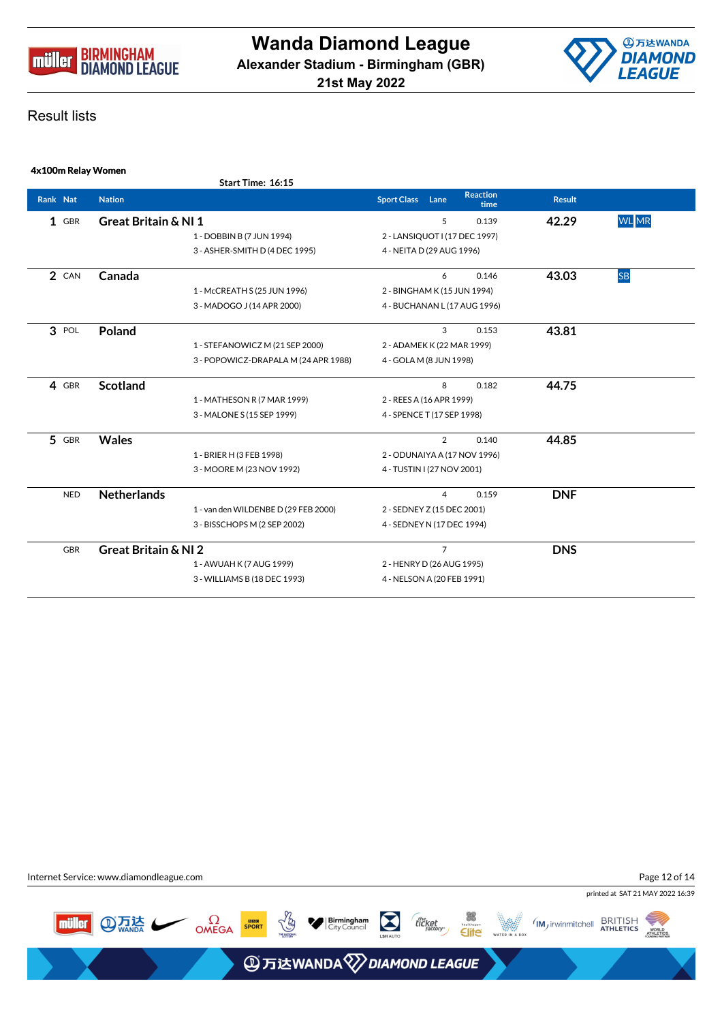



|          | 4x100m Relay Women |                                 |                                      |                               |                         |               |              |
|----------|--------------------|---------------------------------|--------------------------------------|-------------------------------|-------------------------|---------------|--------------|
|          |                    |                                 | Start Time: 16:15                    |                               |                         |               |              |
| Rank Nat |                    | <b>Nation</b>                   |                                      | <b>Sport Class</b><br>Lane    | <b>Reaction</b><br>time | <b>Result</b> |              |
|          | $1$ GBR            | <b>Great Britain &amp; NI1</b>  |                                      | 5                             | 0.139                   | 42.29         | <b>WL</b> MR |
|          |                    |                                 | 1 - DOBBIN B (7 JUN 1994)            | 2 - LANSIQUOT I (17 DEC 1997) |                         |               |              |
|          |                    |                                 | 3 - ASHER-SMITH D (4 DEC 1995)       | 4 - NEITA D (29 AUG 1996)     |                         |               |              |
|          | 2 CAN              | Canada                          |                                      | 6                             | 0.146                   | 43.03         | <b>SB</b>    |
|          |                    |                                 | 1 - McCREATH S (25 JUN 1996)         | 2 - BINGHAM K (15 JUN 1994)   |                         |               |              |
|          |                    |                                 | 3 - MADOGO J (14 APR 2000)           | 4 - BUCHANAN L (17 AUG 1996)  |                         |               |              |
|          | 3 POL              | Poland                          |                                      | 3                             | 0.153                   | 43.81         |              |
|          |                    |                                 | 1 - STEFANOWICZ M (21 SEP 2000)      | 2 - ADAMEK K (22 MAR 1999)    |                         |               |              |
|          |                    |                                 | 3 - POPOWICZ-DRAPALA M (24 APR 1988) | 4 - GOLA M (8 JUN 1998)       |                         |               |              |
|          | 4 GBR              | <b>Scotland</b>                 |                                      | 8                             | 0.182                   | 44.75         |              |
|          |                    |                                 | 1 - MATHESON R (7 MAR 1999)          | 2 - REES A (16 APR 1999)      |                         |               |              |
|          |                    |                                 | 3 - MALONE S (15 SEP 1999)           | 4 - SPENCE T (17 SEP 1998)    |                         |               |              |
|          | 5 GBR              | <b>Wales</b>                    |                                      | $\overline{2}$                | 0.140                   | 44.85         |              |
|          |                    |                                 | 1 - BRIER H (3 FEB 1998)             | 2 - ODUNAIYA A (17 NOV 1996)  |                         |               |              |
|          |                    |                                 | 3 - MOORE M (23 NOV 1992)            | 4 - TUSTIN I (27 NOV 2001)    |                         |               |              |
|          | <b>NED</b>         | <b>Netherlands</b>              |                                      | 4                             | 0.159                   | <b>DNF</b>    |              |
|          |                    |                                 | 1 - van den WILDENBE D (29 FEB 2000) | 2 - SEDNEY Z (15 DEC 2001)    |                         |               |              |
|          |                    |                                 | 3 - BISSCHOPS M (2 SEP 2002)         | 4 - SEDNEY N (17 DEC 1994)    |                         |               |              |
|          | <b>GBR</b>         | <b>Great Britain &amp; NI 2</b> |                                      | $\overline{7}$                |                         | <b>DNS</b>    |              |
|          |                    |                                 | 1 - AWUAH K (7 AUG 1999)             | 2 - HENRY D (26 AUG 1995)     |                         |               |              |
|          |                    |                                 | 3 - WILLIAMS B (18 DEC 1993)         | 4 - NELSON A (20 FEB 1991)    |                         |               |              |

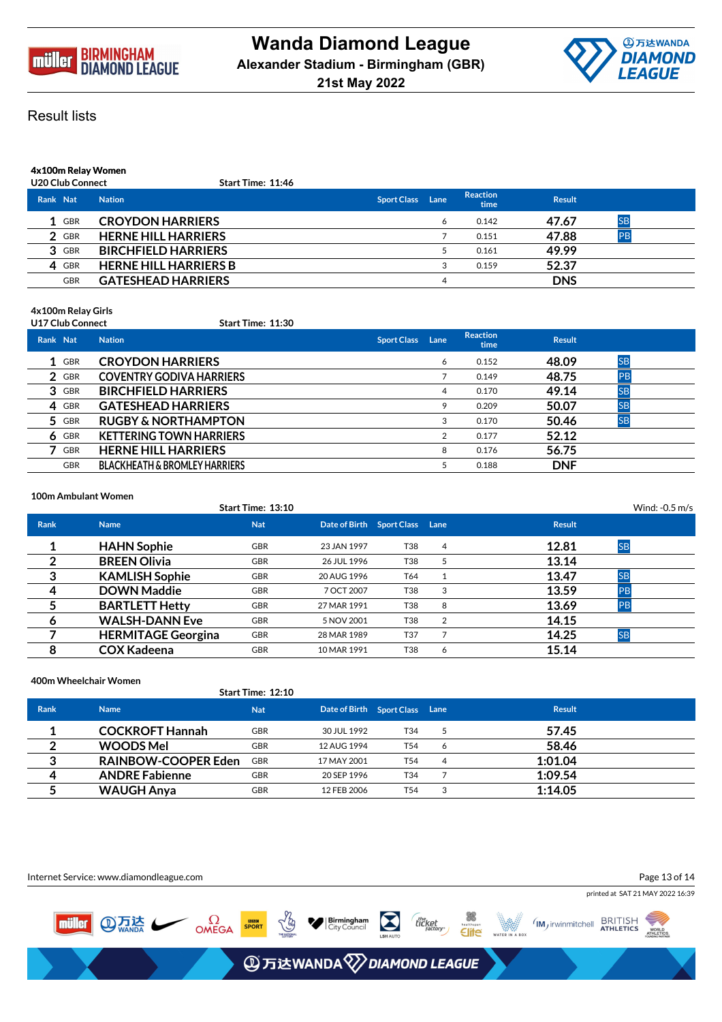



**4x100m Relay Women**

## **U20 Club Connect Start Time: 11:46**

| Rank Nat   | <b>Nation</b>                | <b>Sport Class</b> | Lane | <b>Reaction</b><br>time | <b>Result</b> |           |
|------------|------------------------------|--------------------|------|-------------------------|---------------|-----------|
| 1 GBR      | <b>CROYDON HARRIERS</b>      |                    |      | 0.142                   | 47.67         | <b>SE</b> |
| 2 GBR      | <b>HERNE HILL HARRIERS</b>   |                    |      | 0.151                   | 47.88         |           |
| 3 GBR      | <b>BIRCHFIELD HARRIERS</b>   |                    |      | 0.161                   | 49.99         |           |
| 4 GBR      | <b>HERNE HILL HARRIERS B</b> |                    |      | 0.159                   | 52.37         |           |
| <b>GBR</b> | <b>GATESHEAD HARRIERS</b>    |                    | 4    |                         | <b>DNS</b>    |           |

**4x100m Relay Girls**

## **U17 Club Connect Start Time: 11:30**

| Rank Nat |            | <b>Nation</b>                            | <b>Sport Class Lane</b> |   | <b>Reaction</b><br>time | <b>Result</b> |           |  |
|----------|------------|------------------------------------------|-------------------------|---|-------------------------|---------------|-----------|--|
|          | 1 GBR      | <b>CROYDON HARRIERS</b>                  |                         | 6 | 0.152                   | 48.09         | <b>SB</b> |  |
|          | 2 GBR      | <b>COVENTRY GODIVA HARRIERS</b>          |                         |   | 0.149                   | 48.75         | PB        |  |
|          | 3 GBR      | <b>BIRCHFIELD HARRIERS</b>               |                         | 4 | 0.170                   | 49.14         | <b>SB</b> |  |
|          | 4 GBR      | <b>GATESHEAD HARRIERS</b>                |                         | 9 | 0.209                   | 50.07         | <b>SB</b> |  |
|          | 5 GBR      | <b>RUGBY &amp; NORTHAMPTON</b>           |                         | 3 | 0.170                   | 50.46         | <b>SB</b> |  |
|          | $6$ GBR    | <b>KETTERING TOWN HARRIERS</b>           |                         | 2 | 0.177                   | 52.12         |           |  |
|          | GBR        | <b>HERNE HILL HARRIERS</b>               |                         | 8 | 0.176                   | 56.75         |           |  |
|          | <b>GBR</b> | <b>BLACKHEATH &amp; BROMLEY HARRIERS</b> |                         |   | 0.188                   | <b>DNF</b>    |           |  |

**100m Ambulant Women**

|             |                           | Start Time: 13:10 |                                |     |   |               | Wind: $-0.5$ m/s |  |
|-------------|---------------------------|-------------------|--------------------------------|-----|---|---------------|------------------|--|
| <b>Rank</b> | <b>Name</b>               | <b>Nat</b>        | Date of Birth Sport Class Lane |     |   | <b>Result</b> |                  |  |
|             | <b>HAHN Sophie</b>        | <b>GBR</b>        | 23 JAN 1997                    | T38 | 4 | 12.81         | <b>SB</b>        |  |
|             | <b>BREEN Olivia</b>       | <b>GBR</b>        | 26 JUL 1996                    | T38 |   | 13.14         |                  |  |
| 3           | <b>KAMLISH Sophie</b>     | <b>GBR</b>        | 20 AUG 1996                    | T64 |   | 13.47         | <b>SB</b>        |  |
| 4           | <b>DOWN Maddie</b>        | <b>GBR</b>        | 7 OCT 2007                     | T38 | 3 | 13.59         | <b>PB</b>        |  |
|             | <b>BARTLETT Hetty</b>     | <b>GBR</b>        | 27 MAR 1991                    | T38 | 8 | 13.69         |                  |  |
| 6           | <b>WALSH-DANN Eve</b>     | <b>GBR</b>        | 5 NOV 2001                     | T38 | 2 | 14.15         |                  |  |
|             | <b>HERMITAGE Georgina</b> | <b>GBR</b>        | 28 MAR 1989                    | T37 |   | 14.25         | <b>SB</b>        |  |
| я           | <b>COX Kadeena</b>        | <b>GBR</b>        | 10 MAR 1991                    | T38 | 6 | 15.14         |                  |  |

## **400m Wheelchair Women**

|                  |                            | <b>Start Time: 12:10</b> |                                |     |   |               |  |
|------------------|----------------------------|--------------------------|--------------------------------|-----|---|---------------|--|
| <b>Rank</b>      | <b>Name</b>                | <b>Nat</b>               | Date of Birth Sport Class Lane |     |   | <b>Result</b> |  |
|                  | <b>COCKROFT Hannah</b>     | GBR                      | 30 JUL 1992                    | T34 |   | 57.45         |  |
| $\mathbf{2}$     | <b>WOODS Mel</b>           | <b>GBR</b>               | 12 AUG 1994                    | T54 | 6 | 58.46         |  |
| 3                | <b>RAINBOW-COOPER Eden</b> | <b>GBR</b>               | 17 MAY 2001                    | T54 | 4 | 1:01.04       |  |
| $\boldsymbol{4}$ | <b>ANDRE Fabienne</b>      | <b>GBR</b>               | 20 SEP 1996                    | T34 |   | 1:09.54       |  |
|                  | WAUGH Anya                 | GBR                      | 12 FEB 2006                    | T54 |   | 1:14.05       |  |